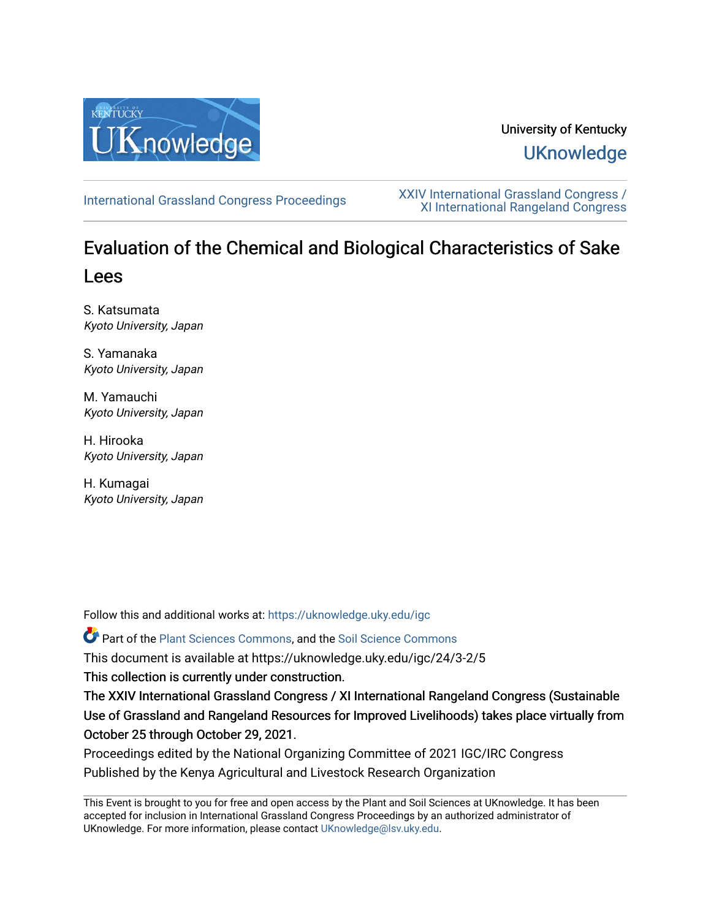

# University of Kentucky **UKnowledge**

[International Grassland Congress Proceedings](https://uknowledge.uky.edu/igc) [XXIV International Grassland Congress /](https://uknowledge.uky.edu/igc/24)  [XI International Rangeland Congress](https://uknowledge.uky.edu/igc/24) 

# Evaluation of the Chemical and Biological Characteristics of Sake Lees

S. Katsumata Kyoto University, Japan

S. Yamanaka Kyoto University, Japan

M. Yamauchi Kyoto University, Japan

H. Hirooka Kyoto University, Japan

H. Kumagai Kyoto University, Japan

Follow this and additional works at: [https://uknowledge.uky.edu/igc](https://uknowledge.uky.edu/igc?utm_source=uknowledge.uky.edu%2Figc%2F24%2F3-2%2F5&utm_medium=PDF&utm_campaign=PDFCoverPages) 

Part of the [Plant Sciences Commons](http://network.bepress.com/hgg/discipline/102?utm_source=uknowledge.uky.edu%2Figc%2F24%2F3-2%2F5&utm_medium=PDF&utm_campaign=PDFCoverPages), and the [Soil Science Commons](http://network.bepress.com/hgg/discipline/163?utm_source=uknowledge.uky.edu%2Figc%2F24%2F3-2%2F5&utm_medium=PDF&utm_campaign=PDFCoverPages) 

This document is available at https://uknowledge.uky.edu/igc/24/3-2/5

This collection is currently under construction.

The XXIV International Grassland Congress / XI International Rangeland Congress (Sustainable Use of Grassland and Rangeland Resources for Improved Livelihoods) takes place virtually from October 25 through October 29, 2021.

Proceedings edited by the National Organizing Committee of 2021 IGC/IRC Congress Published by the Kenya Agricultural and Livestock Research Organization

This Event is brought to you for free and open access by the Plant and Soil Sciences at UKnowledge. It has been accepted for inclusion in International Grassland Congress Proceedings by an authorized administrator of UKnowledge. For more information, please contact [UKnowledge@lsv.uky.edu](mailto:UKnowledge@lsv.uky.edu).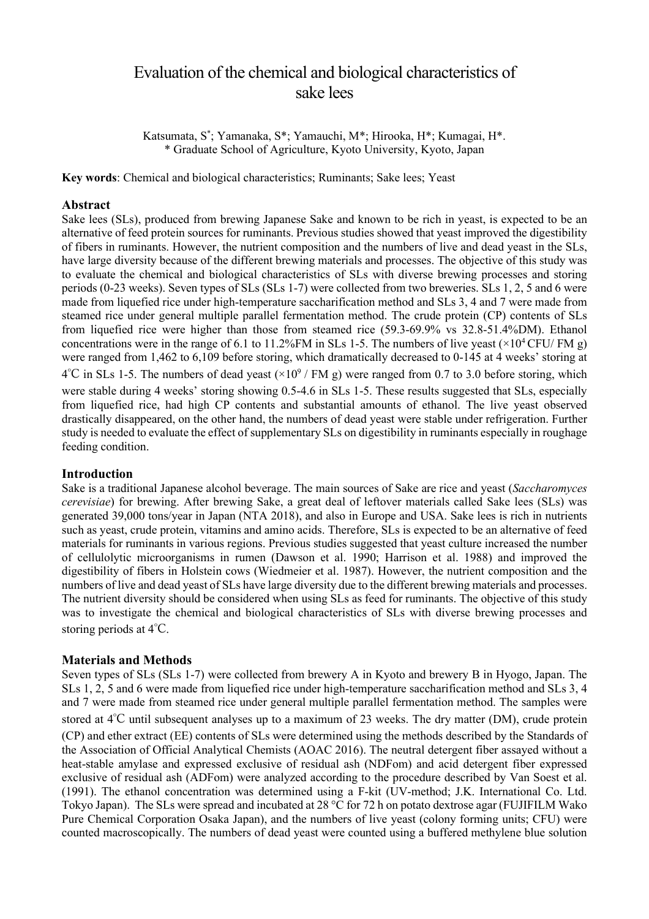# Evaluation of the chemical and biological characteristics of sake lees

Katsumata, S\* ; Yamanaka, S\*; Yamauchi, M\*; Hirooka, H\*; Kumagai, H\*. \* Graduate School of Agriculture, Kyoto University, Kyoto, Japan

**Key words**: Chemical and biological characteristics; Ruminants; Sake lees; Yeast

# **Abstract**

Sake lees (SLs), produced from brewing Japanese Sake and known to be rich in yeast, is expected to be an alternative of feed protein sources for ruminants. Previous studies showed that yeast improved the digestibility of fibers in ruminants. However, the nutrient composition and the numbers of live and dead yeast in the SLs, have large diversity because of the different brewing materials and processes. The objective of this study was to evaluate the chemical and biological characteristics of SLs with diverse brewing processes and storing periods (0-23 weeks). Seven types of SLs (SLs 1-7) were collected from two breweries. SLs 1, 2, 5 and 6 were made from liquefied rice under high-temperature saccharification method and SLs 3, 4 and 7 were made from steamed rice under general multiple parallel fermentation method. The crude protein (CP) contents of SLs from liquefied rice were higher than those from steamed rice (59.3-69.9% vs 32.8-51.4%DM). Ethanol concentrations were in the range of 6.1 to 11.2%FM in SLs 1-5. The numbers of live yeast  $(\times 10^4 \text{CFU/FM g})$ were ranged from 1,462 to 6,109 before storing, which dramatically decreased to 0-145 at 4 weeks' storing at  $4^{\circ}$ C in SLs 1-5. The numbers of dead yeast ( $\times 10^9$  / FM g) were ranged from 0.7 to 3.0 before storing, which were stable during 4 weeks' storing showing 0.5-4.6 in SLs 1-5. These results suggested that SLs, especially from liquefied rice, had high CP contents and substantial amounts of ethanol. The live yeast observed drastically disappeared, on the other hand, the numbers of dead yeast were stable under refrigeration. Further study is needed to evaluate the effect of supplementary SLs on digestibility in ruminants especially in roughage feeding condition.

## **Introduction**

Sake is a traditional Japanese alcohol beverage. The main sources of Sake are rice and yeast (*Saccharomyces cerevisiae*) for brewing. After brewing Sake, a great deal of leftover materials called Sake lees (SLs) was generated 39,000 tons/year in Japan (NTA 2018), and also in Europe and USA. Sake lees is rich in nutrients such as yeast, crude protein, vitamins and amino acids. Therefore, SLs is expected to be an alternative of feed materials for ruminants in various regions. Previous studies suggested that yeast culture increased the number of cellulolytic microorganisms in rumen (Dawson et al. 1990; Harrison et al. 1988) and improved the digestibility of fibers in Holstein cows (Wiedmeier et al. 1987). However, the nutrient composition and the numbers of live and dead yeast of SLs have large diversity due to the different brewing materials and processes. The nutrient diversity should be considered when using SLs as feed for ruminants. The objective of this study was to investigate the chemical and biological characteristics of SLs with diverse brewing processes and storing periods at 4℃.

## **Materials and Methods**

Seven types of SLs (SLs 1-7) were collected from brewery A in Kyoto and brewery B in Hyogo, Japan. The SLs 1, 2, 5 and 6 were made from liquefied rice under high-temperature saccharification method and SLs 3, 4 and 7 were made from steamed rice under general multiple parallel fermentation method. The samples were stored at 4℃ until subsequent analyses up to a maximum of 23 weeks. The dry matter (DM), crude protein (CP) and ether extract (EE) contents of SLs were determined using the methods described by the Standards of the Association of Official Analytical Chemists (AOAC 2016). The neutral detergent fiber assayed without a heat-stable amylase and expressed exclusive of residual ash (NDFom) and acid detergent fiber expressed exclusive of residual ash (ADFom) were analyzed according to the procedure described by Van Soest et al. (1991). The ethanol concentration was determined using a F-kit (UV-method; J.K. International Co. Ltd. Tokyo Japan). The SLs were spread and incubated at 28 °C for 72 h on potato dextrose agar (FUJIFILM Wako Pure Chemical Corporation Osaka Japan), and the numbers of live yeast (colony forming units; CFU) were counted macroscopically. The numbers of dead yeast were counted using a buffered methylene blue solution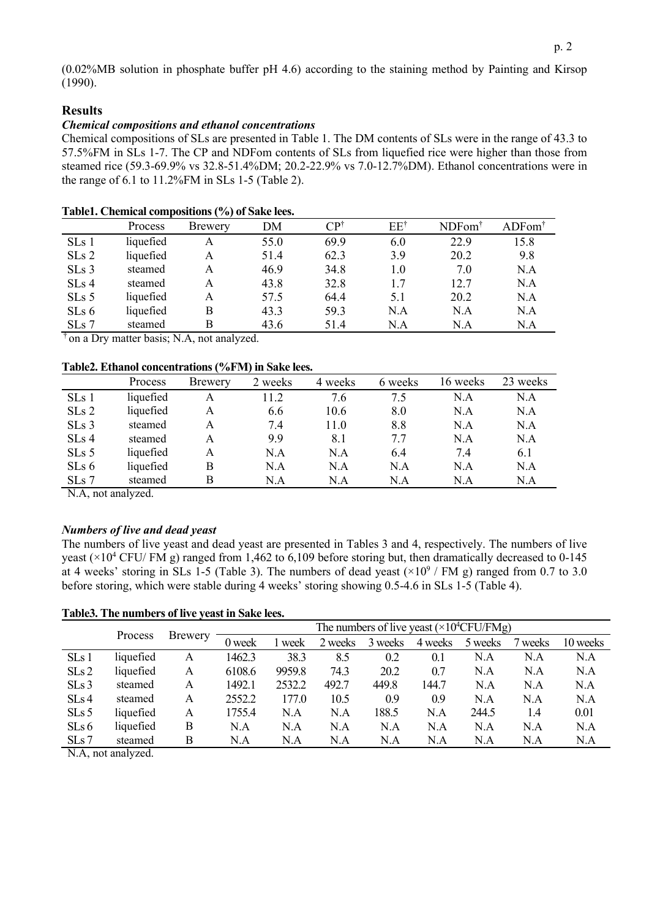(0.02%MB solution in phosphate buffer pH 4.6) according to the staining method by Painting and Kirsop (1990).

## **Results**

## *Chemical compositions and ethanol concentrations*

Chemical compositions of SLs are presented in Table 1. The DM contents of SLs were in the range of 43.3 to 57.5%FM in SLs 1-7. The CP and NDFom contents of SLs from liquefied rice were higher than those from steamed rice (59.3-69.9% vs 32.8-51.4%DM; 20.2-22.9% vs 7.0-12.7%DM). Ethanol concentrations were in the range of 6.1 to 11.2%FM in SLs 1-5 (Table 2).

|         | Process   | Brewery | DM   | CP†  | $EE^{\dagger}$ | NDFom <sup>†</sup> | $ADFom^{\dagger}$ |
|---------|-----------|---------|------|------|----------------|--------------------|-------------------|
| SLs 1   | liquefied | Α       | 55.0 | 69.9 | 6.0            | 22.9               | 15.8              |
| SLs 2   | liquefied | Α       | 51.4 | 62.3 | 3.9            | 20.2               | 9.8               |
| $SLs$ 3 | steamed   | A       | 46.9 | 34.8 | 1.0            | 7.0                | N.A               |
| $SLs$ 4 | steamed   | А       | 43.8 | 32.8 | 1.7            | 12.7               | N.A               |
| $SLs$ 5 | liquefied | А       | 57.5 | 64.4 | 5.1            | 20.2               | N.A               |
| SLs 6   | liquefied | B       | 43.3 | 59.3 | N.A            | N.A                | N.A               |
| SLs 7   | steamed   | B       | 43.6 | 51.4 | N.A            | N.A                | N.A               |

# **Table1. Chemical compositions (%) of Sake lees.**

<sup>†</sup> on a Dry matter basis; N.A, not analyzed.

#### **Table2. Ethanol concentrations (%FM) in Sake lees.**

|         | Process   | Brewery | 2 weeks | 4 weeks | 6 weeks | 16 weeks | 23 weeks |
|---------|-----------|---------|---------|---------|---------|----------|----------|
| SLs 1   | liquefied | Α       | 11.2    | 7.6     | 7.5     | N.A      | N.A      |
| SLs 2   | liquefied | A       | 6.6     | 10.6    | 8.0     | N.A      | N.A      |
| $SLs$ 3 | steamed   | A       | 7.4     | 11.0    | 8.8     | N.A      | N.A      |
| $SLs$ 4 | steamed   | A       | 9.9     | 8.1     | 7.7     | N.A      | N.A      |
| $SLs$ 5 | liquefied | A       | N.A     | N.A     | 6.4     | 7.4      | 6.1      |
| SLs 6   | liquefied | В       | N.A     | N.A     | N.A     | N.A      | N.A      |
| $SLs$ 7 | steamed   | В       | N.A     | N.A     | N.A     | N.A      | N.A      |

N.A, not analyzed.

#### *Numbers of live and dead yeast*

The numbers of live yeast and dead yeast are presented in Tables 3 and 4, respectively. The numbers of live yeast ( $\times$ 10<sup>4</sup> CFU/ FM g) ranged from 1,462 to 6,109 before storing but, then dramatically decreased to 0-145 at 4 weeks' storing in SLs 1-5 (Table 3). The numbers of dead yeast  $(\times 10^9$  / FM g) ranged from 0.7 to 3.0 before storing, which were stable during 4 weeks' storing showing 0.5-4.6 in SLs 1-5 (Table 4).

**Table3. The numbers of live yeast in Sake lees.**

|         |           |         | The numbers of live yeast $(\times 10^4$ CFU/FMg) |        |         |         |         |         |         |          |
|---------|-----------|---------|---------------------------------------------------|--------|---------|---------|---------|---------|---------|----------|
|         | Process   | Brewery | 0 week                                            | week   | 2 weeks | 3 weeks | 4 weeks | 5 weeks | 7 weeks | 10 weeks |
| SLs 1   | liquefied | Α       | 1462.3                                            | 38.3   | 8.5     | 0.2     | 0.1     | N.A     | N.A     | N.A      |
| SLs2    | liquefied | Α       | 6108.6                                            | 9959.8 | 74.3    | 20.2    | 0.7     | N.A     | N.A     | N.A      |
| $SLs$ 3 | steamed   | A       | 1492.1                                            | 2532.2 | 492.7   | 449.8   | 144.7   | N.A     | N.A     | N.A      |
| SLs4    | steamed   | A       | 2552.2                                            | 177.0  | 10.5    | 0.9     | 0.9     | N.A     | N.A     | N.A      |
| $SLs$ 5 | liquefied | Α       | 1755.4                                            | N.A    | N.A     | 188.5   | N.A     | 244.5   | 1.4     | 0.01     |
| SLs6    | liquefied | B       | N.A                                               | N.A    | N.A     | N.A     | N.A     | N.A     | N.A     | N.A      |
| SLs 7   | steamed   | В       | N.A                                               | N.A    | N.A     | N.A     | N.A     | N.A     | N.A     | N.A      |

N.A, not analyzed.